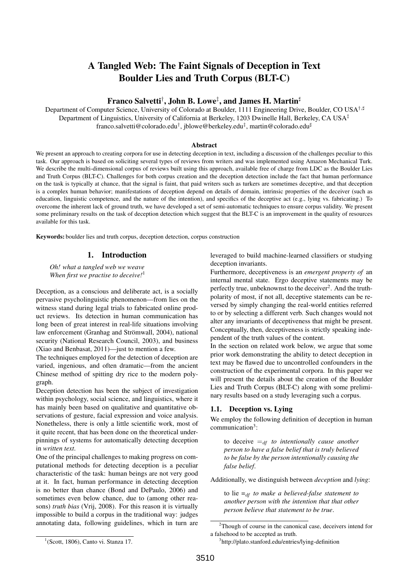# A Tangled Web: The Faint Signals of Deception in Text Boulder Lies and Truth Corpus (BLT-C)

# Franco Salvetti<sup>†</sup>, John B. Lowe<sup>‡</sup>, and James H. Martin<sup>‡</sup>

Department of Computer Science, University of Colorado at Boulder, 1111 Engineering Drive, Boulder, CO USA<sup>†,#</sup> Department of Linguistics, University of California at Berkeley, 1203 Dwinelle Hall, Berkeley, CA USA $\ddagger$ franco.salvetti@colorado.edu<sup>†</sup>, jblowe@berkeley.edu<sup>‡</sup>, martin@colorado.edu<sup>#</sup>

#### Abstract

We present an approach to creating corpora for use in detecting deception in text, including a discussion of the challenges peculiar to this task. Our approach is based on soliciting several types of reviews from writers and was implemented using Amazon Mechanical Turk. We describe the multi-dimensional corpus of reviews built using this approach, available free of charge from LDC as the Boulder Lies and Truth Corpus (BLT-C). Challenges for both corpus creation and the deception detection include the fact that human performance on the task is typically at chance, that the signal is faint, that paid writers such as turkers are sometimes deceptive, and that deception is a complex human behavior; manifestations of deception depend on details of domain, intrinsic properties of the deceiver (such as education, linguistic competence, and the nature of the intention), and specifics of the deceptive act (e.g., lying vs. fabricating.) To overcome the inherent lack of ground truth, we have developed a set of semi-automatic techniques to ensure corpus validity. We present some preliminary results on the task of deception detection which suggest that the BLT-C is an improvement in the quality of resources available for this task.

Keywords: boulder lies and truth corpus, deception detection, corpus construction

#### 1. Introduction

*Oh! what a tangled web we weave When first we practise to deceive!*<sup>1</sup>

Deception, as a conscious and deliberate act, is a socially pervasive psycholinguistic phenomenon—from lies on the witness stand during legal trials to fabricated online product reviews. Its detection in human communication has long been of great interest in real-life situations involving law enforcement (Granhag and Strömwall, 2004), national security (National Research Council, 2003), and business (Xiao and Benbasat, 2011)—just to mention a few.

The techniques employed for the detection of deception are varied, ingenious, and often dramatic—from the ancient Chinese method of spitting dry rice to the modern polygraph.

Deception detection has been the subject of investigation within psychology, social science, and linguistics, where it has mainly been based on qualitative and quantitative observations of gesture, facial expression and voice analysis. Nonetheless, there is only a little scientific work, most of it quite recent, that has been done on the theoretical underpinnings of systems for automatically detecting deception in *written text*.

One of the principal challenges to making progress on computational methods for detecting deception is a peculiar characteristic of the task: human beings are not very good at it. In fact, human performance in detecting deception is no better than chance (Bond and DePaulo, 2006) and sometimes even below chance, due to (among other reasons) *truth bias* (Vrij, 2008). For this reason it is virtually impossible to build a corpus in the traditional way: judges annotating data, following guidelines, which in turn are leveraged to build machine-learned classifiers or studying deception invariants.

Furthermore, deceptiveness is an *emergent property of* an internal mental state. Ergo deceptive statements may be perfectly true, unbeknownst to the deceiver<sup>2</sup>. And the truthpolarity of most, if not all, deceptive statements can be reversed by simply changing the real-world entities referred to or by selecting a different verb. Such changes would not alter any invariants of deceptiveness that might be present. Conceptually, then, deceptiveness is strictly speaking independent of the truth values of the content.

In the section on related work below, we argue that some prior work demonstrating the ability to detect deception in text may be flawed due to uncontrolled confounders in the construction of the experimental corpora. In this paper we will present the details about the creation of the Boulder Lies and Truth Corpus (BLT-C) along with some preliminary results based on a study leveraging such a corpus.

#### 1.1. Deception vs. Lying

We employ the following definition of deception in human communication<sup>3</sup>:

to deceive  $=_{df}$  *to intentionally cause another person to have a false belief that is truly believed to be false by the person intentionally causing the false belief*.

Additionally, we distinguish between *deception* and *lying*:

to lie  $=_{df}$  *to make a believed-false statement to another person with the intention that that other person believe that statement to be true*.

<sup>2</sup>Though of course in the canonical case, deceivers intend for a falsehood to be accepted as truth.

<sup>&</sup>lt;sup>1</sup>(Scott, 1806), Canto vi. Stanza 17.

<sup>3</sup> http://plato.stanford.edu/entries/lying-definition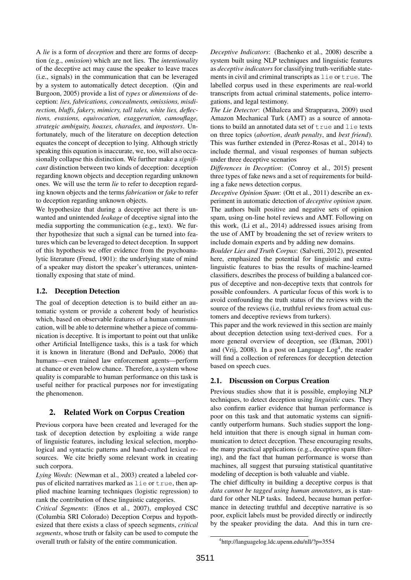A *lie* is a form of *deception* and there are forms of deception (e.g., *omission*) which are not lies. The *intentionality* of the deceptive act may cause the speaker to leave traces (i.e., signals) in the communication that can be leveraged by a system to automatically detect deception. (Qin and Burgoon, 2005) provide a list of *types* or *dimensions* of deception: *lies, fabrications, concealments, omissions, misdirection, bluffs, fakery, mimicry, tall tales, white lies, deflections, evasions, equivocation, exaggeration, camouflage, strategic ambiguity, hoaxes, charades,* and *impostors*. Unfortunately, much of the literature on deception detection equates the concept of deception to lying. Although strictly speaking this equation is inaccurate, we, too, will also occasionally collapse this distinction. We further make a *significant* distinction between two kinds of deception: deception regarding known objects and deception regarding unknown ones. We will use the term *lie* to refer to deception regarding known objects and the terms *fabrication* or *fake* to refer to deception regarding unknown objects.

We hypothesize that during a deceptive act there is unwanted and unintended *leakage* of deceptive signal into the media supporting the communication (e.g., text). We further hypothesize that such a signal can be turned into features which can be leveraged to detect deception. In support of this hypothesis we offer evidence from the psychoanalytic literature (Freud, 1901): the underlying state of mind of a speaker may distort the speaker's utterances, unintentionally exposing that state of mind.

#### 1.2. Deception Detection

The goal of deception detection is to build either an automatic system or provide a coherent body of heuristics which, based on observable features of a human communication, will be able to determine whether a piece of communication is deceptive. It is important to point out that unlike other Artificial Intelligence tasks, this is a task for which it is known in literature (Bond and DePaulo, 2006) that humans—even trained law enforcement agents—perform at chance or even below chance. Therefore, a system whose quality is comparable to human performance on this task is useful neither for practical purposes nor for investigating the phenomenon.

# 2. Related Work on Corpus Creation

Previous corpora have been created and leveraged for the task of deception detection by exploiting a wide range of linguistic features, including lexical selection, morphological and syntactic patterns and hand-crafted lexical resources. We cite briefly some relevant work in creating such corpora.

*Lying Words*: (Newman et al., 2003) created a labeled corpus of elicited narratives marked as lie or true, then applied machine learning techniques (logistic regression) to rank the contribution of these linguistic categories.

*Critical Segments*: (Enos et al., 2007), employed CSC (Columbia SRI Colorado) Deception Corpus and hypothesized that there exists a class of speech segments, *critical segments*, whose truth or falsity can be used to compute the overall truth or falsity of the entire communication.

*Deceptive Indicators*: (Bachenko et al., 2008) describe a system built using NLP techniques and linguistic features as *deceptive indicators* for classifying truth-verifiable statements in civil and criminal transcripts as lie or true. The labelled corpus used in these experiments are real-world transcripts from actual criminal statements, police interrogations, and legal testimony.

*The Lie Detector*: (Mihalcea and Strapparava, 2009) used Amazon Mechanical Turk (AMT) as a source of annotations to build an annotated data set of  $true$  and  $lie$  texts on three topics (*abortion*, *death penalty*, and *best friend*). This was further extended in (Perez-Rosas et al., 2014) to include thermal, and visual responses of human subjects under three deceptive scenarios

*Differences in Deception*: (Conroy et al., 2015) present three types of fake news and a set of requirements for building a fake news detection corpus.

*Deceptive Opinion Spam*: (Ott et al., 2011) describe an experiment in automatic detection of *deceptive opinion spam*. The authors built positive and negative sets of opinion spam, using on-line hotel reviews and AMT. Following on this work, (Li et al., 2014) addressed issues arising from the use of AMT by broadening the set of review writers to include domain experts and by adding new domains.

*Boulder Lies and Truth Corpus*: (Salvetti, 2012), presented here, emphasized the potential for linguistic and extralinguistic features to bias the results of machine-learned classifiers, describes the process of building a balanced corpus of deceptive and non-deceptive texts that controls for possible confounders. A particular focus of this work is to avoid confounding the truth status of the reviews with the source of the reviews (i.e, truthful reviews from actual customers and deceptive reviews from turkers).

This paper and the work reviewed in this section are mainly about deception detection using text-derived cues. For a more general overview of deception, see (Ekman, 2001) and (Vrij, 2008). In a post on Language  $Log<sup>4</sup>$ , the reader will find a collection of references for deception detection based on speech cues.

# 2.1. Discussion on Corpus Creation

Previous studies show that it is possible, employing NLP techniques, to detect deception using *linguistic* cues. They also confirm earlier evidence that human performance is poor on this task and that automatic systems can significantly outperform humans. Such studies support the longheld intuition that there is enough signal in human communication to detect deception. These encouraging results, the many practical applications (e.g., deceptive spam filtering), and the fact that human performance is worse than machines, all suggest that pursuing statistical quantitative modeling of deception is both valuable and viable.

The chief difficulty in building a deceptive corpus is that *data cannot be tagged using human annotators*, as is standard for other NLP tasks. Indeed, because human performance in detecting truthful and deceptive narrative is so poor, explicit labels must be provided directly or indirectly by the speaker providing the data. And this in turn cre-

<sup>4</sup> http://languagelog.ldc.upenn.edu/nll/?p=3554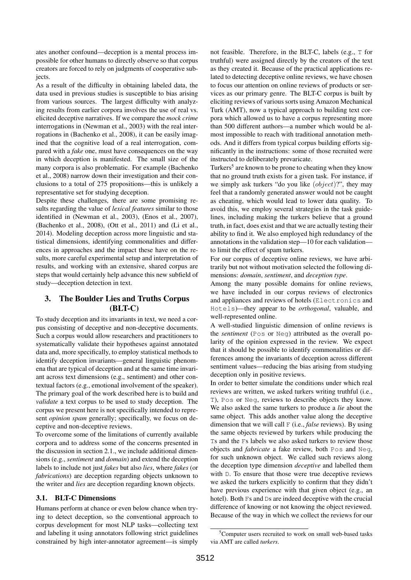ates another confound—deception is a mental process impossible for other humans to directly observe so that corpus creators are forced to rely on judgments of cooperative subjects.

As a result of the difficulty in obtaining labeled data, the data used in previous studies is susceptible to bias arising from various sources. The largest difficulty with analyzing results from earlier corpora involves the use of real vs. elicited deceptive narratives. If we compare the *mock crime* interrogations in (Newman et al., 2003) with the real interrogations in (Bachenko et al., 2008), it can be easily imagined that the cognitive load of a real interrogation, compared with a *fake* one, must have consequences on the way in which deception is manifested. The small size of the many corpora is also problematic. For example (Bachenko et al., 2008) narrow down their investigation and their conclusions to a total of 275 propositions—this is unlikely a representative set for studying deception.

Despite these challenges, there are some promising results regarding the value of *lexical features* similar to those identified in (Newman et al., 2003), (Enos et al., 2007), (Bachenko et al., 2008), (Ott et al., 2011) and (Li et al., 2014). Modeling deception across more linguistic and statistical dimensions, identifying commonalities and differences in approaches and the impact these have on the results, more careful experimental setup and interpretation of results, and working with an extensive, shared corpus are steps that would certainly help advance this new subfield of study—deception detection in text.

# 3. The Boulder Lies and Truths Corpus (BLT-C)

To study deception and its invariants in text, we need a corpus consisting of deceptive and non-deceptive documents. Such a corpus would allow researchers and practitioners to systematically validate their hypotheses against annotated data and, more specifically, to employ statistical methods to identify deception invariants—general linguistic phenomena that are typical of deception and at the same time invariant across text dimensions (e.g., sentiment) and other contextual factors (e.g., emotional involvement of the speaker). The primary goal of the work described here is to build and *validate* a text corpus to be used to study deception. The corpus we present here is not specifically intended to represent *opinion spam* generally; specifically, we focus on deceptive and non-deceptive reviews.

To overcome some of the limitations of currently available corpora and to address some of the concerns presented in the discussion in section 2.1., we include additional dimensions (e.g., *sentiment* and *domain*) and extend the deception labels to include not just *fakes* but also *lies*, where *fakes* (or *fabrications*) are deception regarding objects unknown to the writer and *lies* are deception regarding known objects.

#### 3.1. BLT-C Dimensions

Humans perform at chance or even below chance when trying to detect deception, so the conventional approach to corpus development for most NLP tasks—collecting text and labeling it using annotators following strict guidelines constrained by high inter-annotator agreement—is simply

not feasible. Therefore, in the BLT-C, labels (e.g., T for truthful) were assigned directly by the creators of the text as they created it. Because of the practical applications related to detecting deceptive online reviews, we have chosen to focus our attention on online reviews of products or services as our primary genre. The BLT-C corpus is built by eliciting reviews of various sorts using Amazon Mechanical Turk (AMT), now a typical approach to building text corpora which allowed us to have a corpus representing more than 500 different authors—a number which would be almost impossible to reach with traditional annotation methods. And it differs from typical corpus building efforts significantly in the instructions: some of those recruited were instructed to deliberately prevaricate.

Turkers<sup>5</sup> are known to be prone to cheating when they know that no ground truth exists for a given task. For instance, if we simply ask turkers "do you like  $(object)$ ", they may feel that a randomly generated answer would not be caught as cheating, which would lead to lower data quality. To avoid this, we employ several strategies in the task guidelines, including making the turkers believe that a ground truth, in fact, does exist and that we are actually testing their ability to find it. We also employed high redundancy of the annotations in the validation step—10 for each validation to limit the effect of spam turkers.

For our corpus of deceptive online reviews, we have arbitrarily but not without motivation selected the following dimensions: *domain*, *sentiment*, and *deception type*.

Among the many possible domains for online reviews, we have included in our corpus reviews of electronics and appliances and reviews of hotels (Electronics and Hotels)—they appear to be *orthogonal*, valuable, and well-represented online.

A well-studied linguistic dimension of online reviews is the *sentiment* (Pos or Neg) attributed as the overall polarity of the opinion expressed in the review. We expect that it should be possible to identify commonalities or differences among the invariants of deception across different sentiment values—reducing the bias arising from studying deception only in positive reviews.

In order to better simulate the conditions under which real reviews are written, we asked turkers writing truthful (i.e., T), Pos or Neg, reviews to describe objects they know. We also asked the same turkers to produce a *lie* about the same object. This adds another value along the deceptive dimension that we will call F (i.e., *false* reviews). By using the same objects reviewed by turkers while producing the Ts and the Fs labels we also asked turkers to review those objects and *fabricate* a fake review, both Pos and Neg, for such unknown object. We called such reviews along the deception type dimension *deceptive* and labelled them with D. To ensure that those were true deceptive reviews we asked the turkers explicitly to confirm that they didn't have previous experience with that given object (e.g., an hotel). Both Fs and Ds are indeed deceptive with the crucial difference of knowing or not knowing the object reviewed. Because of the way in which we collect the reviews for our

<sup>5</sup>Computer users recruited to work on small web-based tasks via AMT are called *turkers*.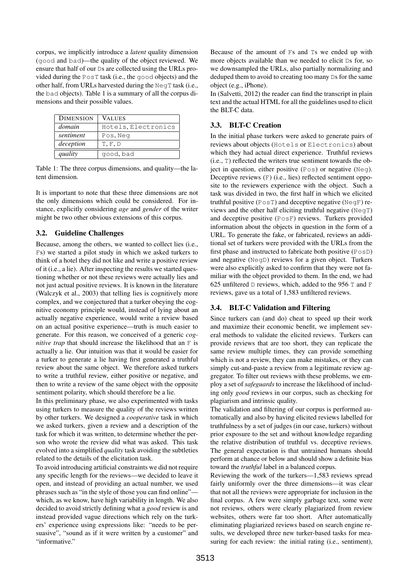corpus, we implicitly introduce a *latent* quality dimension (good and bad)—the quality of the object reviewed. We ensure that half of our Ds are collected using the URLs provided during the PosT task (i.e., the good objects) and the other half, from URLs harvested during the NegT task (i.e., the bad objects). Table 1 is a summary of all the corpus dimensions and their possible values.

| <b>DIMENSION</b> | <b>VALUES</b>       |
|------------------|---------------------|
| domain           | Hotels, Electronics |
| sentiment        | Pos, Neg            |
| deception        | T, F, D             |
| quality          | qood, bad           |

Table 1: The three corpus dimensions, and quality—the latent dimension.

It is important to note that these three dimensions are not the only dimensions which could be considered. For instance, explicitly considering *age* and *gender* of the writer might be two other obvious extensions of this corpus.

# 3.2. Guideline Challenges

Because, among the others, we wanted to collect lies (i.e., Fs) we started a pilot study in which we asked turkers to think of a hotel they did not like and write a positive review of it (i.e., a lie). After inspecting the results we started questioning whether or not these reviews were actually lies and not just actual positive reviews. It is known in the literature (Walczyk et al., 2003) that telling lies is cognitively more complex, and we conjectured that a turker obeying the cognitive economy principle would, instead of lying about an actually negative experience, would write a review based on an actual positive experience—truth is much easier to generate. For this reason, we conceived of a generic *cognitive trap* that should increase the likelihood that an F is actually a lie. Our intuition was that it would be easier for a turker to generate a lie having first generated a truthful review about the same object. We therefore asked turkers to write a truthful review, either positive or negative, and then to write a review of the same object with the opposite sentiment polarity, which should therefore be a lie.

In this preliminary phase, we also experimented with tasks using turkers to measure the quality of the reviews written by other turkers. We designed a *cooperative* task in which we asked turkers, given a review and a description of the task for which it was written, to determine whether the person who wrote the review did what was asked. This task evolved into a simplified *quality* task avoiding the subtleties related to the details of the elicitation task.

To avoid introducing artificial constraints we did not require any specific length for the reviews—we decided to leave it open, and instead of providing an actual number, we used phrases such as "in the style of those you can find online" which, as we know, have high variability in length. We also decided to avoid strictly defining what a *good* review is and instead provided vague directions which rely on the turkers' experience using expressions like: "needs to be persuasive", "sound as if it were written by a customer" and "informative."

Because of the amount of Fs and Ts we ended up with more objects available than we needed to elicit Ds for, so we downsampled the URLs, also partially normalizing and deduped them to avoid to creating too many Ds for the same object (e.g., iPhone).

In (Salvetti, 2012) the reader can find the transcript in plain text and the actual HTML for all the guidelines used to elicit the BLT-C data.

## 3.3. BLT-C Creation

In the initial phase turkers were asked to generate pairs of reviews about objects (Hotels or Electronics) about which they had actual direct experience. Truthful reviews (i.e., T) reflected the writers true sentiment towards the object in question, either positive (Pos) or negative (Neg). Deceptive reviews (F) (i.e., lies) reflected sentiment opposite to the reviewers experience with the object. Such a task was divided in two, the first half in which we elicited truthful positive (PosT) and deceptive negative (NegF) reviews and the other half eliciting truthful negative (NegT) and deceptive positive (PosF) reviews. Turkers provided information about the objects in question in the form of a URL. To generate the fake, or fabricated, reviews an additional set of turkers were provided with the URLs from the first phase and instructed to fabricate both positive (PosD) and negative (NegD) reviews for a given object. Turkers were also explicitly asked to confirm that they were not familiar with the object provided to them. In the end, we had 625 unfiltered  $D$  reviews, which, added to the 956 T and F reviews, gave us a total of 1,583 unfiltered reviews.

# 3.4. BLT-C Validation and Filtering

Since turkers can (and do) cheat to speed up their work and maximize their economic benefit, we implement several methods to validate the elicited reviews. Turkers can provide reviews that are too short, they can replicate the same review multiple times, they can provide something which is not a review, they can make mistakes, or they can simply cut-and-paste a review from a legitimate review aggregator. To filter out reviews with these problems, we employ a set of *safeguards* to increase the likelihood of including only *good* reviews in our corpus, such as checking for plagiarism and intrinsic quality.

The validation and filtering of our corpus is performed automatically and also by having elicited reviews labelled for truthfulness by a set of judges (in our case, turkers) without prior exposure to the set and without knowledge regarding the relative distribution of truthful vs. deceptive reviews. The general expectation is that untrained humans should perform at chance or below and should show a definite bias toward the *truthful* label in a balanced corpus.

Reviewing the work of the turkers—1,583 reviews spread fairly uniformly over the three dimensions—it was clear that not all the reviews were appropriate for inclusion in the final corpus. A few were simply garbage text, some were not reviews, others were clearly plagiarized from review websites, others were far too short. After automatically eliminating plagiarized reviews based on search engine results, we developed three new turker-based tasks for measuring for each review: the initial rating (i.e., sentiment),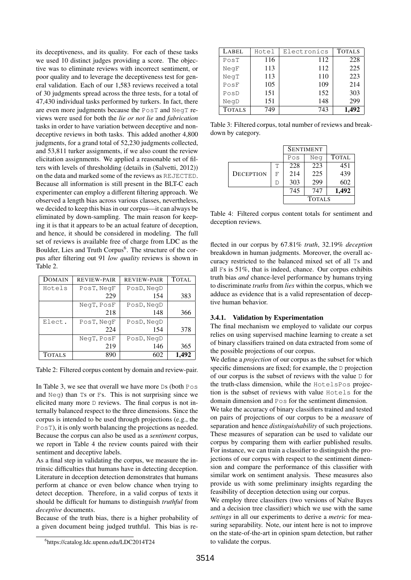its deceptiveness, and its quality. For each of these tasks we used 10 distinct judges providing a score. The objective was to eliminate reviews with incorrect sentiment, or poor quality and to leverage the deceptiveness test for general validation. Each of our 1,583 reviews received a total of 30 judgments spread across the three tests, for a total of 47,430 individual tasks performed by turkers. In fact, there are even more judgments because the PosT and NegT reviews were used for both the *lie or not lie* and *fabrication* tasks in order to have variation between deceptive and nondeceptive reviews in both tasks. This added another 4,800 judgments, for a grand total of 52,230 judgments collected, and 53,811 turker assignments, if we also count the review elicitation assignments. We applied a reasonable set of filters with levels of thresholding (details in (Salvetti, 2012)) on the data and marked some of the reviews as REJECTED. Because all information is still present in the BLT-C each experimenter can employ a different filtering approach. We observed a length bias across various classes, nevertheless, we decided to keep this bias in our corpus—it can always be eliminated by down-sampling. The main reason for keeping it is that it appears to be an actual feature of deception, and hence, it should be considered in modeling. The full set of reviews is available free of charge from LDC as the Boulder, Lies and Truth Corpus<sup>6</sup>. The structure of the corpus after filtering out 91 *low quality* reviews is shown in Table 2.

| DOMAIN        | <b>REVIEW-PAIR</b> | <b>REVIEW-PAIR</b> | <b>TOTAL</b> |
|---------------|--------------------|--------------------|--------------|
| Hotels        | PosT, NeqF         | PosD, NegD         |              |
|               | 229                | 154                | 383          |
|               | NegT, PosF         | PosD, NegD         |              |
|               | 218                | 148                | 366          |
| Elect.        | PosT, NeqF         | PosD, NeqD         |              |
|               | 224                | 154                | 378          |
|               | NegT. PosF         | PosD, NegD         |              |
|               | 219                | 146                | 365          |
| <b>TOTALS</b> | 890                | 602                |              |

Table 2: Filtered corpus content by domain and review-pair.

In Table 3, we see that overall we have more Ds (both Pos and Neg) than Ts or Fs. This is not surprising since we elicited many more D reviews. The final corpus is not internally balanced respect to the three dimensions. Since the corpus is intended to be used through projections (e.g., the PosT), it is only worth balancing the projections as needed. Because the corpus can also be used as a *sentiment* corpus, we report in Table 4 the review counts paired with their sentiment and deceptive labels.

As a final step in validating the corpus, we measure the intrinsic difficulties that humans have in detecting deception. Literature in deception detection demonstrates that humans perform at chance or even below chance when trying to detect deception. Therefore, in a valid corpus of texts it should be difficult for humans to distinguish *truthful* from *deceptive* documents.

Because of the truth bias, there is a higher probability of a given document being judged truthful. This bias is re-

| LABEL         | Hotel | Electronics | <b>TOTALS</b> |
|---------------|-------|-------------|---------------|
| PosT          | 116   | 112         | 228           |
| NegF          | 113   | 112         | 225           |
| NeqT          | 113   | 110         | 223           |
| PosF          | 105   | 109         | 214           |
| PosD          | 151   | 152         | 303           |
| NegD          | 151   | 148         | 299           |
| <b>TOTALS</b> | 749   | 743         | 1.492         |

Table 3: Filtered corpus, total number of reviews and breakdown by category.

|                  |   | <b>SENTIMENT</b> |     |              |
|------------------|---|------------------|-----|--------------|
|                  |   | Pos              | Neg | <b>TOTAL</b> |
|                  | Т | 228              | 223 | 451          |
| <b>DECEPTION</b> | F | 214              | 225 | 439          |
|                  | Ð | 303              | 299 | 602          |
|                  |   | 745              | 747 | 1,492        |
|                  |   | <b>TOTALS</b>    |     |              |

Table 4: Filtered corpus content totals for sentiment and deception reviews.

flected in our corpus by 67.81% *truth*, 32.19% *deception* breakdown in human judgments. Moreover, the overall accuracy restricted to the balanced mixed set of all Ts and all Fs is 51%, that is indeed, chance. Our corpus exhibits truth bias *and* chance-level performance by humans trying to discriminate *truths* from *lies* within the corpus, which we adduce as evidence that is a valid representation of deceptive human behavior.

#### 3.4.1. Validation by Experimentation

The final mechanism we employed to validate our corpus relies on using supervised machine learning to create a set of binary classifiers trained on data extracted from some of the possible projections of our corpus.

We define a *projection* of our corpus as the subset for which specific dimensions are fixed; for example, the D projection of our corpus is the subset of reviews with the value D for the truth-class dimension, while the HotelsPos projection is the subset of reviews with value Hotels for the domain dimension and Pos for the sentiment dimension.

We take the accuracy of binary classifiers trained and tested on pairs of projections of our corpus to be a *measure* of separation and hence *distinguishability* of such projections. These measures of separation can be used to validate our corpus by comparing them with earlier published results. For instance, we can train a classifier to distinguish the projections of our corpus with respect to the sentiment dimension and compare the performance of this classifier with similar work on sentiment analysis. These measures also provide us with some preliminary insights regarding the feasibility of deception detection using our corpus.

We employ three classifiers (two versions of Naïve Bayes and a decision tree classifier) which we use with the same *settings* in all our experiments to derive a *metric* for measuring separability. Note, our intent here is not to improve on the state-of-the-art in opinion spam detection, but rather to validate the corpus.

<sup>6</sup> https://catalog.ldc.upenn.edu/LDC2014T24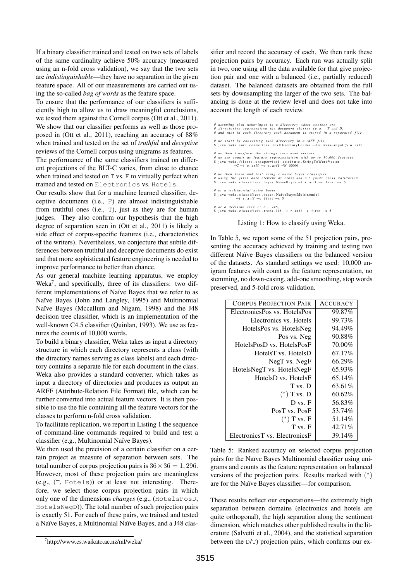If a binary classifier trained and tested on two sets of labels of the same cardinality achieve 50% accuracy (measured using an n-fold cross validation), we say that the two sets are *indistinguishable*—they have no separation in the given feature space. All of our measurements are carried out using the so-called *bag of words* as the feature space.

To ensure that the performance of our classifiers is sufficiently high to allow us to draw meaningful conclusions, we tested them against the Cornell corpus (Ott et al., 2011). We show that our classifier performs as well as those proposed in (Ott et al., 2011), reaching an accuracy of 88% when trained and tested on the set of *truthful* and *deceptive* reviews of the Cornell corpus using unigrams as features.

The performance of the same classifiers trained on different projections of the BLT-C varies, from close to chance when trained and tested on T vs. F to virtually perfect when trained and tested on Electronics vs. Hotels.

Our results show that for a machine learned classifier, deceptive documents (i.e., F) are almost indistinguishable from truthful ones (i.e., T), just as they are for human judges. They also confirm our hypothesis that the high degree of separation seen in (Ott et al., 2011) is likely a side effect of corpus-specific features (i.e., characteristics of the writers). Nevertheless, we conjecture that subtle differences between truthful and deceptive documents do exist and that more sophisticated feature engineering is needed to improve performance to better than chance.

As our general machine learning apparatus, we employ Weka<sup>7</sup>, and specifically, three of its classifiers: two different implementations of Naïve Bayes that we refer to as Naïve Bayes (John and Langley, 1995) and Multinomial Naïve Bayes (Mccallum and Nigam, 1998) and the J48 decision tree classifier, which is an implementation of the well-known C4.5 classifier (Quinlan, 1993). We use as features the counts of 10,000 words.

To build a binary classifier, Weka takes as input a directory structure in which each directory represents a class (with the directory names serving as class labels) and each directory contains a separate file for each document in the class. Weka also provides a standard converter, which takes as input a directory of directories and produces as output an ARFF (Attribute-Relation File Format) file, which can be further converted into actual feature vectors. It is then possible to use the file containing all the feature vectors for the classes to perform n-fold cross validation.

To facilitate replication, we report in Listing 1 the sequence of command-line commands required to build and test a classifier (e.g., Multinomial Naïve Bayes).

We then used the precision of a certain classifier on a certain project as measure of separation between sets. The total number of corpus projection pairs is  $36 \times 36 = 1,296$ . However, most of these projection pairs are meaningless (e.g., (T, Hotels)) or at least not interesting. Therefore, we select those corpus projection pairs in which only one of the dimensions *changes* (e.g., (HotelsPosD, HotelsNegD)). The total number of such projection pairs is exactly 51. For each of these pairs, we trained and tested a Naïve Bayes, a Multinomial Naïve Bayes, and a J48 classifier and record the accuracy of each. We then rank these projection pairs by accuracy. Each run was actually split in two, one using all the data available for that give projection pair and one with a balanced (i.e., partially reduced) dataset. The balanced datasets are obtained from the full sets by downsampling the larger of the two sets. The balancing is done at the review level and does not take into account the length of each review.

- # assuming that weka—input is a directory whose content are<br># directories representing the document classes (e.g., Tand D)<br># and that in each directory each document is stored in a separated file
- 
- 
- *# we start by converting such directory in a AIFF file*<br>\$ java weka.core.converters.TextDirectoryLoader —dir weka—input > 0.arf1
- 

# we then transform the strings into word vectors<br># we use counts as feature representation with up to 10,000 features<br>\$ java weka. filters.unsupervised.attribute.StringToWordVector<br>-C -i o.arff -o r.arff -W 10000

- #we then train and test using a naive bayes classifier<br>#using the first data element as class and a 5 folds cross validation<br>\$ java weka.classifiers.bayes.NaiveBayes tr.arff —c first —x 5
- *# o r a m u l t i n o m i a l n a i v e b a y e s*
- \$ java weka.classifiers.bayes.NaiveBayesMultinomial\$<br>−t r.arff −c first −x 5
- *# or a decision tree (i.e., J48)*<br>\$ java weka.classifiers.trees.J48 −t r.arff −c first −x 5

Listing 1: How to classify using Weka.

In Table 5, we report some of the 51 projection pairs, presenting the accuracy achieved by training and testing two different Naïve Bayes classifiers on the balanced version of the datasets. As standard settings we used: 10,000 unigram features with count as the feature representation, no stemming, no down-casing, add-one smoothing, stop words preserved, and 5-fold cross validation.

| <b>CORPUS PROJECTION PAIR</b> | <b>ACCURACY</b> |
|-------------------------------|-----------------|
| ElectronicsPos vs. HotelsPos  | 99.87%          |
| Electronics vs. Hotels        | 99.73%          |
| HotelsPos vs. HotelsNeg       | 94.49%          |
| Pos vs. Neg                   | 90.88%          |
| HotelsPosD vs. HotelsPosF     | 70.00%          |
| HotelsT vs. HotelsD           | 67.17%          |
| NegT vs. NegF                 | 66.29%          |
| HotelsNegT vs. HotelsNegF     | 65.93%          |
| HotelsD vs. HotelsF           | 65.14%          |
| T vs. D                       | 63.61%          |
| $(*)$ T vs. D                 | 60.62%          |
| D vs. F                       | 56.83%          |
| PosT vs. PosF                 | 53.74%          |
| $(*)$ T vs. F                 | 51.14%          |
| T vs. F                       | 42.71%          |
| ElectronicsT vs. ElectronicsF | 39.14%          |

Table 5: Ranked accuracy on selected corpus projection pairs for the Naïve Bayes Multinomial classifier using unigrams and counts as the feature representation on balanced versions of the projection pairs. Results marked with  $(*)$ are for the Na¨ıve Bayes classifier—for comparison.

These results reflect our expectations—the extremely high separation between domains (electronics and hotels are quite orthogonal), the high separation along the sentiment dimension, which matches other published results in the literature (Salvetti et al., 2004), and the statistical separation between the D/T) projection pairs, which confirms our ex-

<sup>7</sup> http://www.cs.waikato.ac.nz/ml/weka/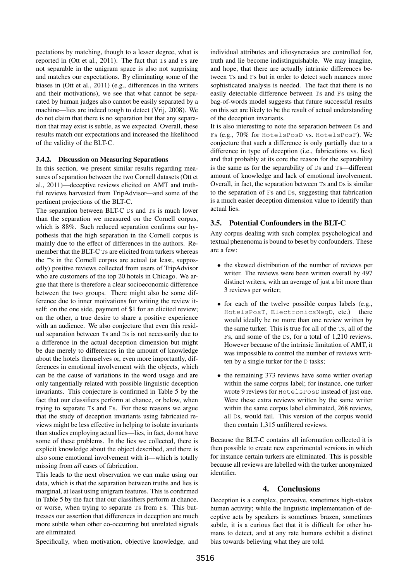pectations by matching, though to a lesser degree, what is reported in (Ott et al., 2011). The fact that Ts and Fs are not separable in the unigram space is also not surprising and matches our expectations. By eliminating some of the biases in (Ott et al., 2011) (e.g., differences in the writers and their motivations), we see that what cannot be separated by human judges also cannot be easily separated by a machine—lies are indeed tough to detect (Vrij, 2008). We do not claim that there is no separation but that any separation that may exist is subtle, as we expected. Overall, these results match our expectations and increased the likelihood of the validity of the BLT-C.

#### 3.4.2. Discussion on Measuring Separations

In this section, we present similar results regarding measures of separation between the two Cornell datasets (Ott et al., 2011)—deceptive reviews elicited on AMT and truthful reviews harvested from TripAdvisor—and some of the pertinent projections of the BLT-C.

The separation between BLT-C Ds and Ts is much lower than the separation we measured on the Cornell corpus, which is 88%. Such reduced separation confirms our hypothesis that the high separation in the Cornell corpus is mainly due to the effect of differences in the authors. Remember that the BLT-C Ts are elicited from turkers whereas the Ts in the Cornell corpus are actual (at least, supposedly) positive reviews collected from users of TripAdvisor who are customers of the top 20 hotels in Chicago. We argue that there is therefore a clear socioeconomic difference between the two groups. There might also be some difference due to inner motivations for writing the review itself: on the one side, payment of \$1 for an elicited review; on the other, a true desire to share a positive experience with an audience. We also conjecture that even this residual separation between Ts and Ds is not necessarily due to a difference in the actual deception dimension but might be due merely to differences in the amount of knowledge about the hotels themselves or, even more importantly, differences in emotional involvement with the objects, which can be the cause of variations in the word usage and are only tangentially related with possible linguistic deception invariants. This conjecture is confirmed in Table 5 by the fact that our classifiers perform at chance, or below, when trying to separate Ts and Fs. For these reasons we argue that the study of deception invariants using fabricated reviews might be less effective in helping to isolate invariants than studies employing actual lies—lies, in fact, do not have some of these problems. In the lies we collected, there is explicit knowledge about the object described, and there is also some emotional involvement with it—which is totally missing from *all* cases of fabrication.

This leads to the next observation we can make using our data, which is that the separation between truths and lies is marginal, at least using unigram features. This is confirmed in Table 5 by the fact that our classifiers perform at chance, or worse, when trying to separate Ts from Fs. This buttresses our assertion that differences in deception are much more subtle when other co-occurring but unrelated signals are eliminated.

Specifically, when motivation, objective knowledge, and

individual attributes and idiosyncrasies are controlled for, truth and lie become indistinguishable. We may imagine, and hope, that there are actually intrinsic differences between Ts and Fs but in order to detect such nuances more sophisticated analysis is needed. The fact that there is no easily detectable difference between Ts and Fs using the bag-of-words model suggests that future successful results on this set are likely to be the result of actual understanding of the deception invariants.

It is also interesting to note the separation between Ds and Fs (e.g., 70% for HotelsPosD vs. HotelsPosF). We conjecture that such a difference is only partially due to a difference in type of deception (i.e., fabrications vs. lies) and that probably at its core the reason for the separability is the same as for the separability of Ds and Ts—different amount of knowledge and lack of emotional involvement. Overall, in fact, the separation between Ts and Ds is similar to the separation of Fs and Ds, suggesting that fabrication is a much easier deception dimension value to identify than actual lies.

# 3.5. Potential Confounders in the BLT-C

Any corpus dealing with such complex psychological and textual phenenoma is bound to beset by confounders. These are a few:

- the skewed distribution of the number of reviews per writer. The reviews were been written overall by 497 distinct writers, with an average of just a bit more than 3 reviews per writer;
- for each of the twelve possible corpus labels (e.g., HotelsPosT, ElectronicsNegD, etc.) there would ideally be no more than one review written by the same turker. This is true for all of the Ts, all of the Fs, and some of the Ds, for a total of 1,210 reviews. However because of the intrinsic limitation of AMT, it was impossible to control the number of reviews written by a single turker for the D tasks;
- the remaining 373 reviews have some writer overlap within the same corpus label; for instance, one turker wrote 9 reviews for HotelsPosD instead of just one. Were these extra reviews written by the same writer within the same corpus label eliminated, 268 reviews, all Ds, would fail. This version of the corpus would then contain 1,315 unfiltered reviews.

Because the BLT-C contains all information collected it is then possible to create new experimental versions in which for instance certain turkers are eliminated. This is possible because all reviews are labelled with the turker anonymized identifier.

# 4. Conclusions

Deception is a complex, pervasive, sometimes high-stakes human activity; while the linguistic implementation of deceptive acts by speakers is sometimes brazen, sometimes subtle, it is a curious fact that it is difficult for other humans to detect, and at any rate humans exhibit a distinct bias towards believing what they are told.